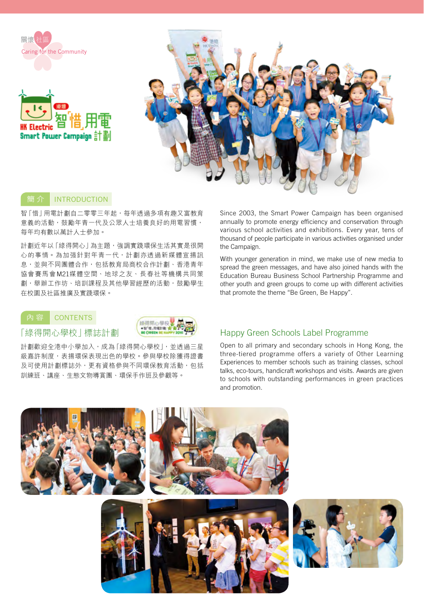

### **INTRODUCTION**

智「惜」用電計劃自二零零三年起,每年透過多項有趣又富教育 意義的活動,鼓勵年青一代及公眾人士培養良好的用電習慣, 每年均有數以萬計人士參加。

計劃近年以「綠得開心」為主題,強調實踐環保生活其實是很開 心的事情。為加强針對年青一代,計劃亦透過新媒體宣揚訊 息,並與不同團體合作,包括教育局商校合作計劃、香港青年 協會賽馬會M21媒體空間、地球之友、長春社等機構共同策 劃,舉辦工作坊、培訓課程及其他學習經歷的活動,鼓勵學生 在校園及社區推廣及實踐環保。

## **CONTENTS**

「綠得開心學校」標誌計劃

6倍間小腸料 ●智「恒」用電計劃 1 **IF CIDEEN BE H** 

計劃歡迎全港中小學加入,成為「綠得開心學校」,並透過三星 級嘉許制度,表揚環保表現出色的學校。參與學校除獲得證書 及可使用計劃標誌外,更有資格參與不同環保教育活動,包括 訓練班、講座、生態文物導賞團、環保手作班及參觀等。

Since 2003, the Smart Power Campaign has been organised annually to promote energy efficiency and conservation through various school activities and exhibitions. Every year, tens of thousand of people participate in various activities organised under the Campaign.

With younger generation in mind, we make use of new media to spread the green messages, and have also joined hands with the Education Bureau Business School Partnership Programme and other youth and green groups to come up with different activities that promote the theme "Be Green, Be Happy".

# Happy Green Schools Label Programme

Open to all primary and secondary schools in Hong Kong, the three-tiered programme offers a variety of Other Learning Experiences to member schools such as training classes, school talks, eco-tours, handicraft workshops and visits. Awards are given to schools with outstanding performances in green practices and promotion.